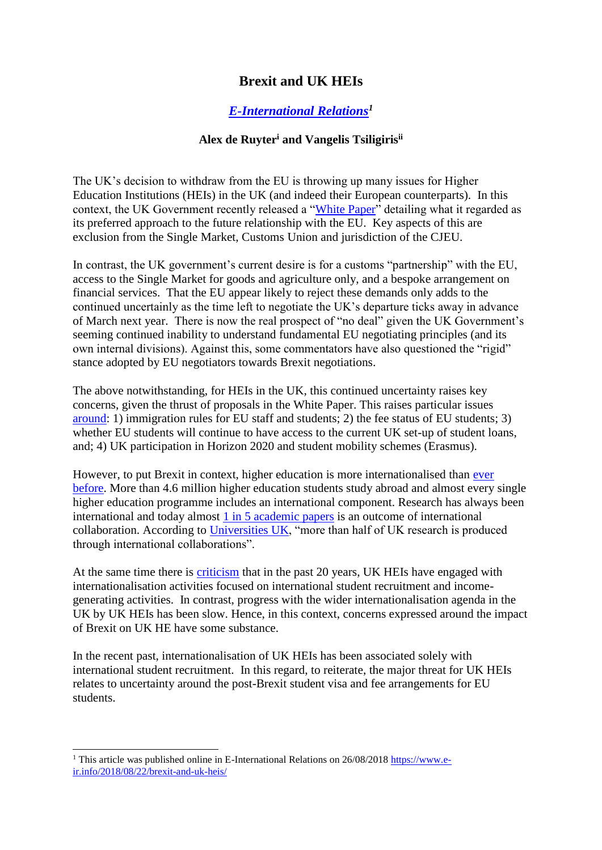# **Brexit and UK HEIs**

## *[E-International Relations](https://www.e-ir.info/2018/08/22/brexit-and-uk-heis/)<sup>1</sup>*

### **Alex de Ruyter<sup>i</sup> and Vangelis Tsiligirisii**

The UK's decision to withdraw from the EU is throwing up many issues for Higher Education Institutions (HEIs) in the UK (and indeed their European counterparts). In this context, the UK Government recently released a ["White Paper"](https://assets.publishing.service.gov.uk/government/uploads/system/uploads/attachment_data/file/725288/The_future_relationship_between_the_United_Kingdom_and_the_European_Union.pdf) detailing what it regarded as its preferred approach to the future relationship with the EU. Key aspects of this are exclusion from the Single Market, Customs Union and jurisdiction of the CJEU.

In contrast, the UK government's current desire is for a customs "partnership" with the EU, access to the Single Market for goods and agriculture only, and a bespoke arrangement on financial services. That the EU appear likely to reject these demands only adds to the continued uncertainly as the time left to negotiate the UK's departure ticks away in advance of March next year. There is now the real prospect of "no deal" given the UK Government's seeming continued inability to understand fundamental EU negotiating principles (and its own internal divisions). Against this, some commentators have also questioned the "rigid" stance adopted by EU negotiators towards Brexit negotiations.

The above notwithstanding, for HEIs in the UK, this continued uncertainty raises key concerns, given the thrust of proposals in the White Paper. This raises particular issues [around:](https://www.timeshighereducation.com/news/brexit-four-big-stumbling-blocks-he-after-white-paper) 1) immigration rules for EU staff and students; 2) the fee status of EU students; 3) whether EU students will continue to have access to the current UK set-up of student loans, and; 4) UK participation in Horizon 2020 and student mobility schemes (Erasmus).

However, to put Brexit in context, higher education is more internationalised than [ever](https://www.hsbc.com/news-and-insight/media-resources/media-releases/2017/the-global-outlook-for-international-higher-education-strengthens)  [before.](https://www.hsbc.com/news-and-insight/media-resources/media-releases/2017/the-global-outlook-for-international-higher-education-strengthens) More than 4.6 million higher education students study abroad and almost every single higher education programme includes an international component. Research has always been international and today almost [1 in 5 academic papers](https://www.elsevier.com/connect/international-research-collaboration-growing-but-still-hard-to-measure) is an outcome of international collaboration. According to [Universities UK,](https://www.universitiesuk.ac.uk/facts-and-stats/data-and-analysis/Documents/higher-education-research-in-facts-and-figures.pdf) "more than half of UK research is produced through international collaborations".

At the same time there is [criticism](http://www.ifsulibrary.com/ejournal/uploads/file/pdf/20180417_092932.pdf) that in the past 20 years, UK HEIs have engaged with internationalisation activities focused on international student recruitment and incomegenerating activities. In contrast, progress with the wider internationalisation agenda in the UK by UK HEIs has been slow. Hence, in this context, concerns expressed around the impact of Brexit on UK HE have some substance.

In the recent past, internationalisation of UK HEIs has been associated solely with international student recruitment. In this regard, to reiterate, the major threat for UK HEIs relates to uncertainty around the post-Brexit student visa and fee arrangements for EU students.

-

<sup>&</sup>lt;sup>1</sup> This article was published online in E-International Relations on  $26/08/2018$  https://www.e[ir.info/2018/08/22/brexit-and-uk-heis/](https://www.e-ir.info/2018/08/22/brexit-and-uk-heis/)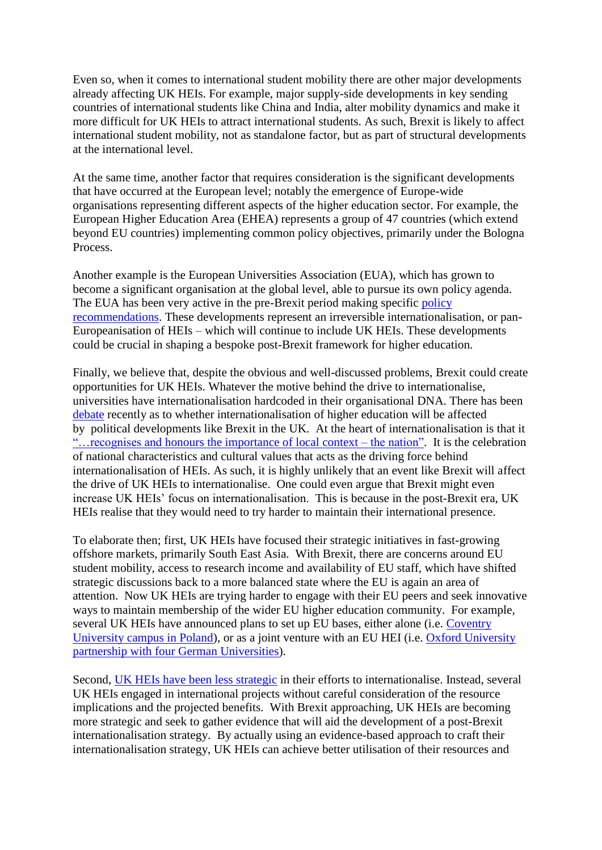Even so, when it comes to international student mobility there are other major developments already affecting UK HEIs. For example, major supply-side developments in key sending countries of international students like China and India, alter mobility dynamics and make it more difficult for UK HEIs to attract international students. As such, Brexit is likely to affect international student mobility, not as standalone factor, but as part of structural developments at the international level.

At the same time, another factor that requires consideration is the significant developments that have occurred at the European level; notably the emergence of Europe-wide organisations representing different aspects of the higher education sector. For example, the European Higher Education Area (EHEA) represents a group of 47 countries (which extend beyond EU countries) implementing common policy objectives, primarily under the Bologna Process.

Another example is the European Universities Association (EUA), which has grown to become a significant organisation at the global level, able to pursue its own policy agenda. The EUA has been very active in the pre-Brexit period making specific policy [recommendations.](http://www.eua.be/Libraries/publications-homepage-list/eua-calls-for-comprehensive-view-on-academic-cooperation-in-brexit-negotiations?utm_source=webpage&utm_medium=News&utm_name=News-webpage-08-03-2018) These developments represent an irreversible internationalisation, or pan-Europeanisation of HEIs – which will continue to include UK HEIs. These developments could be crucial in shaping a bespoke post-Brexit framework for higher education.

Finally, we believe that, despite the obvious and well-discussed problems, Brexit could create opportunities for UK HEIs. Whatever the motive behind the drive to internationalise, universities have internationalisation hardcoded in their organisational DNA. There has been [debate](http://www.universityworldnews.com/article.php?story=20180320105610716) recently as to whether internationalisation of higher education will be affected by political developments like Brexit in the UK. At the heart of internationalisation is that it "... recognises and honours the importance of local context – the nation". It is the celebration of national characteristics and cultural values that acts as the driving force behind internationalisation of HEIs. As such, it is highly unlikely that an event like Brexit will affect the drive of UK HEIs to internationalise. One could even argue that Brexit might even increase UK HEIs' focus on internationalisation. This is because in the post-Brexit era, UK HEIs realise that they would need to try harder to maintain their international presence.

To elaborate then; first, UK HEIs have focused their strategic initiatives in fast-growing offshore markets, primarily South East Asia. With Brexit, there are concerns around EU student mobility, access to research income and availability of EU staff, which have shifted strategic discussions back to a more balanced state where the EU is again an area of attention. Now UK HEIs are trying harder to engage with their EU peers and seek innovative ways to maintain membership of the wider EU higher education community. For example, several UK HEIs have announced plans to set up EU bases, either alone (i.e. Coventry [University campus in Poland\)](https://www.coventry.ac.uk/primary-news/coventry-university-to-open-first-british-campus-in-poland/), or as a joint venture with an EU HEI (i.e. [Oxford University](https://www.timeshighereducation.com/news/uk-universities-plan-german-links-weather-brexit-storm)  [partnership with four German Universities\)](https://www.timeshighereducation.com/news/uk-universities-plan-german-links-weather-brexit-storm).

Second, [UK HEIs have been less strategic](https://www.sciencedirect.com/science/article/abs/pii/S147281171400007X) in their efforts to internationalise. Instead, several UK HEIs engaged in international projects without careful consideration of the resource implications and the projected benefits. With Brexit approaching, UK HEIs are becoming more strategic and seek to gather evidence that will aid the development of a post-Brexit internationalisation strategy. By actually using an evidence-based approach to craft their internationalisation strategy, UK HEIs can achieve better utilisation of their resources and